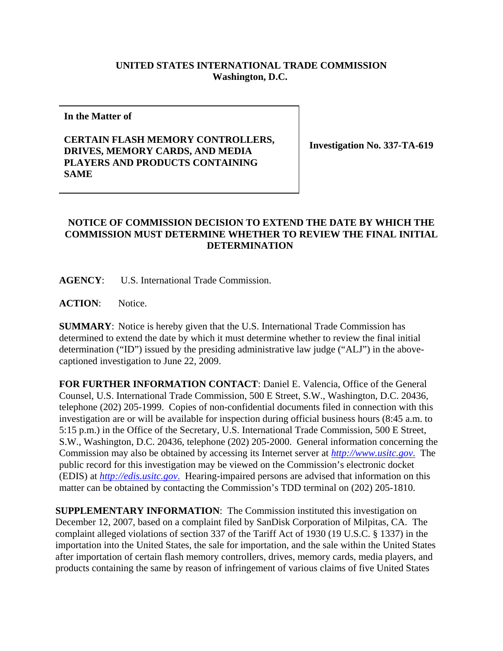## **UNITED STATES INTERNATIONAL TRADE COMMISSION Washington, D.C.**

**In the Matter of** 

## **CERTAIN FLASH MEMORY CONTROLLERS, DRIVES, MEMORY CARDS, AND MEDIA PLAYERS AND PRODUCTS CONTAINING SAME**

**Investigation No. 337-TA-619**

## **NOTICE OF COMMISSION DECISION TO EXTEND THE DATE BY WHICH THE COMMISSION MUST DETERMINE WHETHER TO REVIEW THE FINAL INITIAL DETERMINATION**

**AGENCY**: U.S. International Trade Commission.

ACTION: Notice.

**SUMMARY**: Notice is hereby given that the U.S. International Trade Commission has determined to extend the date by which it must determine whether to review the final initial determination ("ID") issued by the presiding administrative law judge ("ALJ") in the abovecaptioned investigation to June 22, 2009.

**FOR FURTHER INFORMATION CONTACT**: Daniel E. Valencia, Office of the General Counsel, U.S. International Trade Commission, 500 E Street, S.W., Washington, D.C. 20436, telephone (202) 205-1999. Copies of non-confidential documents filed in connection with this investigation are or will be available for inspection during official business hours (8:45 a.m. to 5:15 p.m.) in the Office of the Secretary, U.S. International Trade Commission, 500 E Street, S.W., Washington, D.C. 20436, telephone (202) 205-2000. General information concerning the Commission may also be obtained by accessing its Internet server at *http://www.usitc.gov*. The public record for this investigation may be viewed on the Commission's electronic docket (EDIS) at *http://edis.usitc.gov*. Hearing-impaired persons are advised that information on this matter can be obtained by contacting the Commission's TDD terminal on (202) 205-1810.

**SUPPLEMENTARY INFORMATION**: The Commission instituted this investigation on December 12, 2007, based on a complaint filed by SanDisk Corporation of Milpitas, CA. The complaint alleged violations of section 337 of the Tariff Act of 1930 (19 U.S.C. § 1337) in the importation into the United States, the sale for importation, and the sale within the United States after importation of certain flash memory controllers, drives, memory cards, media players, and products containing the same by reason of infringement of various claims of five United States